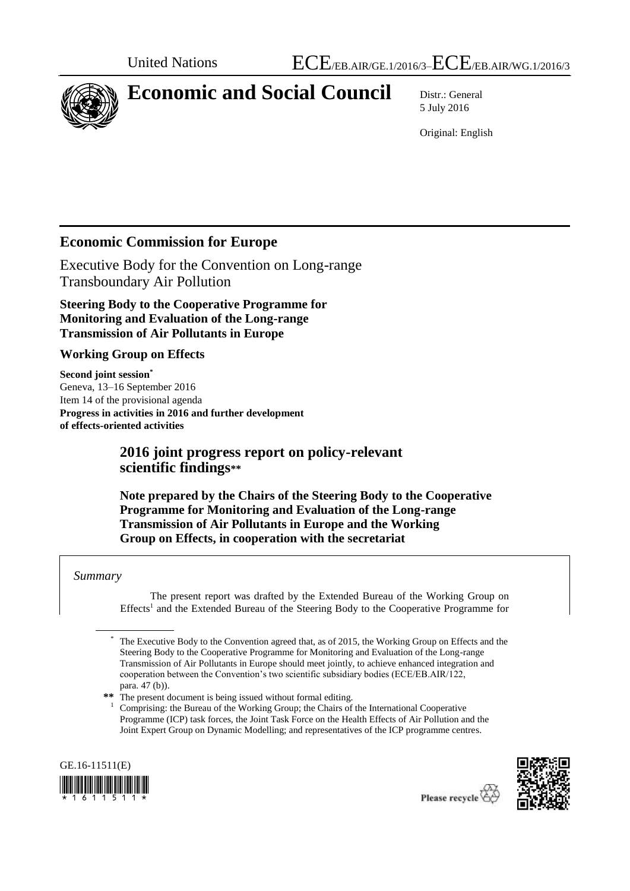

# **Economic and Social Council** Distr.: General

5 July 2016

Original: English

# **Economic Commission for Europe**

Executive Body for the Convention on Long-range Transboundary Air Pollution

**Steering Body to the Cooperative Programme for Monitoring and Evaluation of the Long-range Transmission of Air Pollutants in Europe** 

### **Working Group on Effects**

**Second joint session\*** Geneva, 13–16 September 2016 Item 14 of the provisional agenda **Progress in activities in 2016 and further development of effects-oriented activities**

# **2016 joint progress report on policy-relevant scientific findings\*\***

**Note prepared by the Chairs of the Steering Body to the Cooperative Programme for Monitoring and Evaluation of the Long-range Transmission of Air Pollutants in Europe and the Working Group on Effects, in cooperation with the secretariat**

### *Summary*

The present report was drafted by the Extended Bureau of the Working Group on Effects<sup>1</sup> and the Extended Bureau of the Steering Body to the Cooperative Programme for

<sup>1</sup> Comprising: the Bureau of the Working Group; the Chairs of the International Cooperative Programme (ICP) task forces, the Joint Task Force on the Health Effects of Air Pollution and the Joint Expert Group on Dynamic Modelling; and representatives of the ICP programme centres.





The Executive Body to the Convention agreed that, as of 2015, the Working Group on Effects and the Steering Body to the Cooperative Programme for Monitoring and Evaluation of the Long-range Transmission of Air Pollutants in Europe should meet jointly, to achieve enhanced integration and cooperation between the Convention's two scientific subsidiary bodies (ECE/EB.AIR/122, para. 47 (b)).

**<sup>\*\*</sup>** The present document is being issued without formal editing.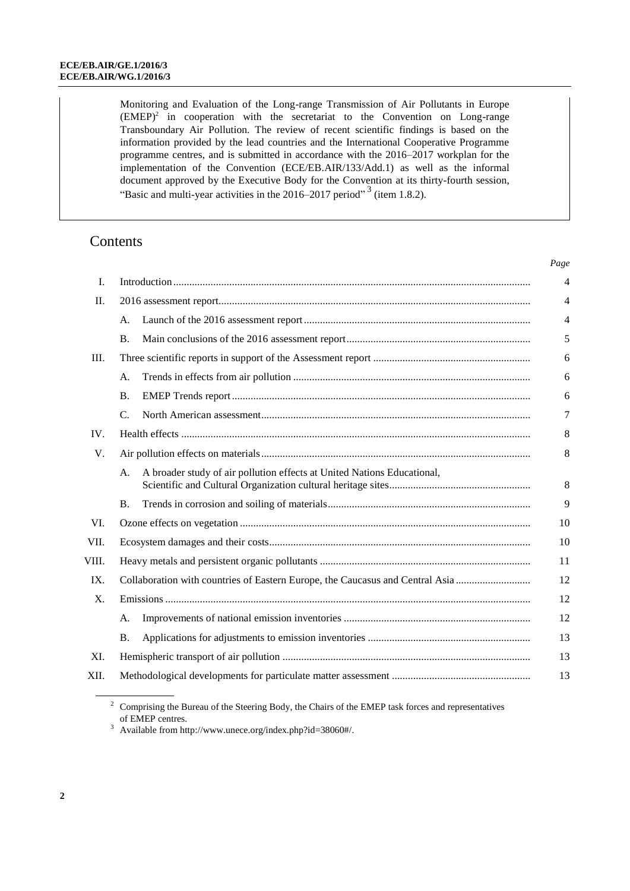Monitoring and Evaluation of the Long-range Transmission of Air Pollutants in Europe  $(EMEP)^2$  in cooperation with the secretariat to the Convention on Long-range Transboundary Air Pollution. The review of recent scientific findings is based on the information provided by the lead countries and the International Cooperative Programme programme centres, and is submitted in accordance with the 2016–2017 workplan for the implementation of the Convention (ECE/EB.AIR/133/Add.1) as well as the informal document approved by the Executive Body for the Convention at its thirty-fourth session, "Basic and multi-year activities in the  $2016-2017$  period"<sup>3</sup> (item 1.8.2).

*Page*

### **Contents**

| I.    |                                                                               |                                                                         | $\overline{4}$ |  |
|-------|-------------------------------------------------------------------------------|-------------------------------------------------------------------------|----------------|--|
| II.   |                                                                               |                                                                         |                |  |
|       | А.                                                                            |                                                                         | 4              |  |
|       | <b>B.</b>                                                                     |                                                                         | 5              |  |
| Ш.    |                                                                               |                                                                         | 6              |  |
|       | А.                                                                            |                                                                         | 6              |  |
|       | <b>B.</b>                                                                     |                                                                         | 6              |  |
|       | C.                                                                            |                                                                         | 7              |  |
| IV.   |                                                                               |                                                                         |                |  |
| V.    |                                                                               |                                                                         |                |  |
|       | А.                                                                            | A broader study of air pollution effects at United Nations Educational, | 8              |  |
|       | <b>B.</b>                                                                     |                                                                         | 9              |  |
| VI.   |                                                                               |                                                                         |                |  |
| VII.  |                                                                               |                                                                         |                |  |
| VIII. |                                                                               |                                                                         | 11             |  |
| IX.   | Collaboration with countries of Eastern Europe, the Caucasus and Central Asia |                                                                         | 12             |  |
| X.    |                                                                               |                                                                         | 12             |  |
|       | A.                                                                            |                                                                         | 12             |  |
|       | <b>B.</b>                                                                     |                                                                         | 13             |  |
| XI.   |                                                                               |                                                                         | 13             |  |
| XII.  |                                                                               |                                                                         | 13             |  |
|       |                                                                               |                                                                         |                |  |

<sup>2</sup> Comprising the Bureau of the Steering Body, the Chairs of the EMEP task forces and representatives of EMEP centres.

<sup>3</sup> Available from [http://www.unece.org/index.php?id=38060#/.](http://www.unece.org/index.php?id=38060#/)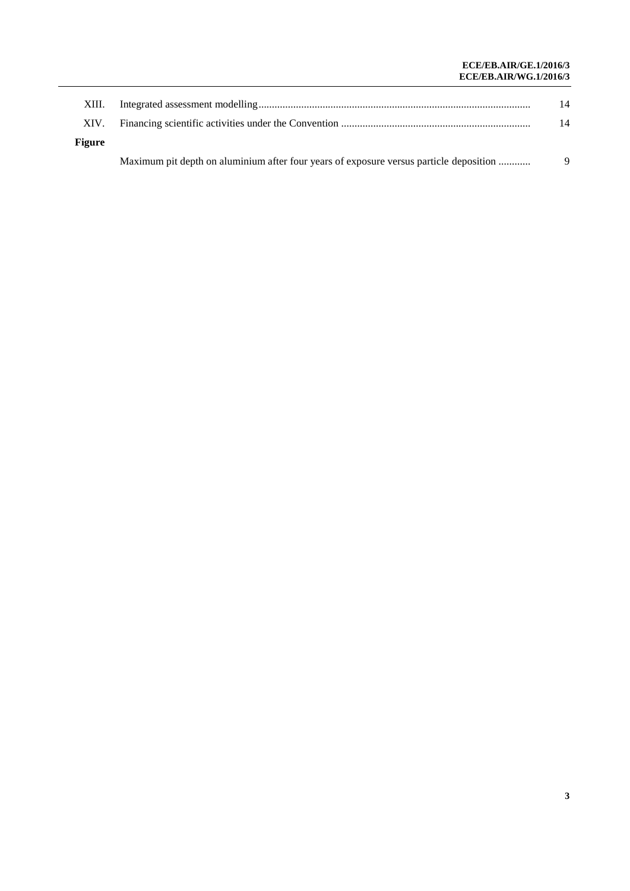#### **ECE/EB.AIR/GE.1/2016/3 ECE/EB.AIR/WG.1/2016/3**

| XIII.         |                                                                                        | 14 |
|---------------|----------------------------------------------------------------------------------------|----|
| XIV.          |                                                                                        | 14 |
| <b>Figure</b> |                                                                                        |    |
|               | Maximum pit depth on aluminium after four years of exposure versus particle deposition | 9  |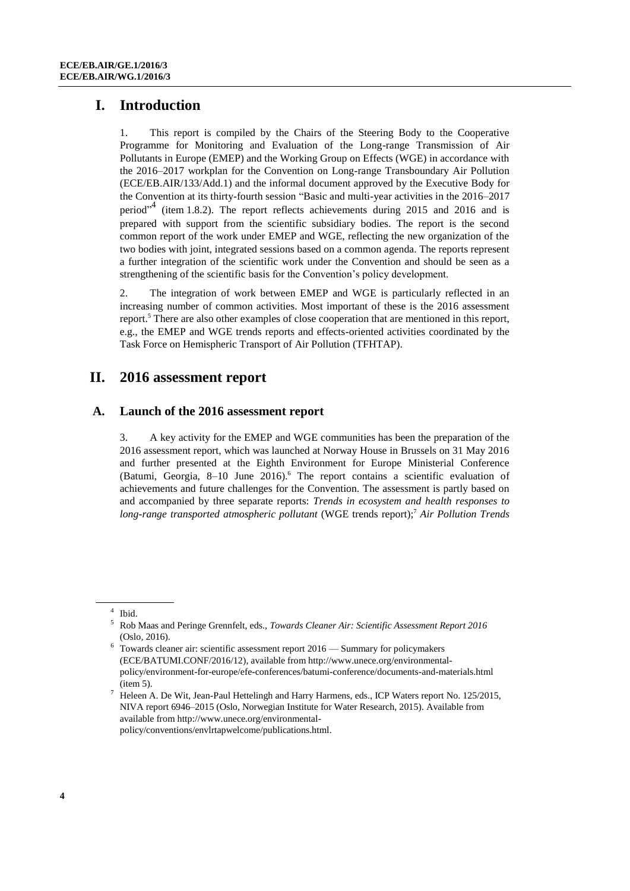### **I. Introduction**

1. This report is compiled by the Chairs of the Steering Body to the Cooperative Programme for Monitoring and Evaluation of the Long-range Transmission of Air Pollutants in Europe (EMEP) and the Working Group on Effects (WGE) in accordance with the 2016–2017 workplan for the Convention on Long-range Transboundary Air Pollution (ECE/EB.AIR/133/Add.1) and the informal document approved by the Executive Body for the Convention at its thirty-fourth session "Basic and multi-year activities in the 2016–2017 period"<sup>4</sup> (item 1.8.2). The report reflects achievements during 2015 and 2016 and is prepared with support from the scientific subsidiary bodies. The report is the second common report of the work under EMEP and WGE, reflecting the new organization of the two bodies with joint, integrated sessions based on a common agenda. The reports represent a further integration of the scientific work under the Convention and should be seen as a strengthening of the scientific basis for the Convention's policy development.

2. The integration of work between EMEP and WGE is particularly reflected in an increasing number of common activities. Most important of these is the 2016 assessment report.<sup>5</sup> There are also other examples of close cooperation that are mentioned in this report, e.g., the EMEP and WGE trends reports and effects-oriented activities coordinated by the Task Force on Hemispheric Transport of Air Pollution (TFHTAP).

### **II. 2016 assessment report**

#### **A. Launch of the 2016 assessment report**

3. A key activity for the EMEP and WGE communities has been the preparation of the 2016 assessment report, which was launched at Norway House in Brussels on 31 May 2016 and further presented at the Eighth Environment for Europe Ministerial Conference (Batumi, Georgia, 8-10 June 2016).<sup>6</sup> The report contains a scientific evaluation of achievements and future challenges for the Convention. The assessment is partly based on and accompanied by three separate reports: *Trends in ecosystem and health responses to long-range transported atmospheric pollutant* (WGE trends report);<sup>7</sup> *Air Pollution Trends* 

<sup>4</sup> Ibid.

<sup>5</sup> Rob Maas and Peringe Grennfelt, eds., *Towards Cleaner Air: Scientific Assessment Report 2016* (Oslo, 2016).

 $6$  Towards cleaner air: scientific assessment report 2016 — Summary for policymakers (ECE/BATUMI.CONF/2016/12), available from http://www.unece.org/environmentalpolicy/environment-for-europe/efe-conferences/batumi-conference/documents-and-materials.html (item 5).

<sup>7</sup> Heleen A. De Wit, Jean-Paul Hettelingh and Harry Harmens, eds., ICP Waters report No. 125/2015, NIVA report 6946–2015 (Oslo, Norwegian Institute for Water Research, 2015). Available from available from http://www.unece.org/environmentalpolicy/conventions/envlrtapwelcome/publications.html.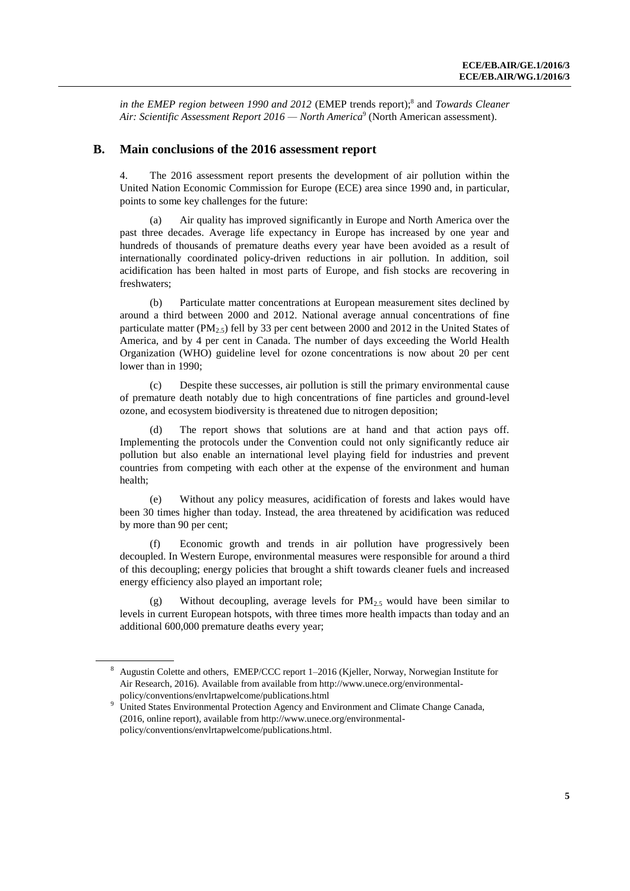in the EMEP region between 1990 and 2012 (EMEP trends report);<sup>8</sup> and *Towards Cleaner Air: Scientific Assessment Report 2016 — North America*<sup>9</sup> (North American assessment).

#### **B. Main conclusions of the 2016 assessment report**

4. The 2016 assessment report presents the development of air pollution within the United Nation Economic Commission for Europe (ECE) area since 1990 and, in particular, points to some key challenges for the future:

(a) Air quality has improved significantly in Europe and North America over the past three decades. Average life expectancy in Europe has increased by one year and hundreds of thousands of premature deaths every year have been avoided as a result of internationally coordinated policy-driven reductions in air pollution. In addition, soil acidification has been halted in most parts of Europe, and fish stocks are recovering in freshwaters;

(b) Particulate matter concentrations at European measurement sites declined by around a third between 2000 and 2012. National average annual concentrations of fine particulate matter ( $PM_{2,5}$ ) fell by 33 per cent between 2000 and 2012 in the United States of America, and by 4 per cent in Canada. The number of days exceeding the World Health Organization (WHO) guideline level for ozone concentrations is now about 20 per cent lower than in 1990;

(c) Despite these successes, air pollution is still the primary environmental cause of premature death notably due to high concentrations of fine particles and ground-level ozone, and ecosystem biodiversity is threatened due to nitrogen deposition;

(d) The report shows that solutions are at hand and that action pays off. Implementing the protocols under the Convention could not only significantly reduce air pollution but also enable an international level playing field for industries and prevent countries from competing with each other at the expense of the environment and human health;

(e) Without any policy measures, acidification of forests and lakes would have been 30 times higher than today. Instead, the area threatened by acidification was reduced by more than 90 per cent;

(f) Economic growth and trends in air pollution have progressively been decoupled. In Western Europe, environmental measures were responsible for around a third of this decoupling; energy policies that brought a shift towards cleaner fuels and increased energy efficiency also played an important role;

(g) Without decoupling, average levels for  $PM_{2.5}$  would have been similar to levels in current European hotspots, with three times more health impacts than today and an additional 600,000 premature deaths every year;

<sup>8</sup> Augustin Colette and others, EMEP/CCC report 1–2016 (Kjeller, Norway, Norwegian Institute for Air Research, 2016). Available from available from http://www.unece.org/environmentalpolicy/conventions/envlrtapwelcome/publications.html

<sup>&</sup>lt;sup>9</sup> United States Environmental Protection Agency and Environment and Climate Change Canada, (2016, online report), available from http://www.unece.org/environmentalpolicy/conventions/envlrtapwelcome/publications.html.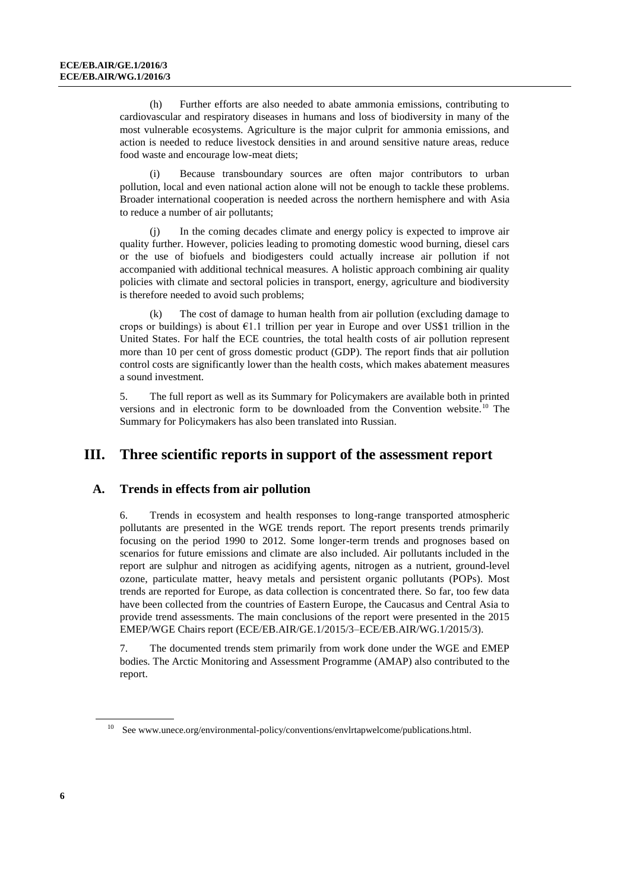(h) Further efforts are also needed to abate ammonia emissions, contributing to cardiovascular and respiratory diseases in humans and loss of biodiversity in many of the most vulnerable ecosystems. Agriculture is the major culprit for ammonia emissions, and action is needed to reduce livestock densities in and around sensitive nature areas, reduce food waste and encourage low-meat diets;

(i) Because transboundary sources are often major contributors to urban pollution, local and even national action alone will not be enough to tackle these problems. Broader international cooperation is needed across the northern hemisphere and with Asia to reduce a number of air pollutants;

(j) In the coming decades climate and energy policy is expected to improve air quality further. However, policies leading to promoting domestic wood burning, diesel cars or the use of biofuels and biodigesters could actually increase air pollution if not accompanied with additional technical measures. A holistic approach combining air quality policies with climate and sectoral policies in transport, energy, agriculture and biodiversity is therefore needed to avoid such problems;

(k) The cost of damage to human health from air pollution (excluding damage to crops or buildings) is about  $\epsilon$ 1.1 trillion per year in Europe and over US\$1 trillion in the United States. For half the ECE countries, the total health costs of air pollution represent more than 10 per cent of gross domestic product (GDP). The report finds that air pollution control costs are significantly lower than the health costs, which makes abatement measures a sound investment.

5. The full report as well as its Summary for Policymakers are available both in printed versions and in electronic form to be downloaded from the Convention website.<sup>10</sup> The Summary for Policymakers has also been translated into Russian.

### **III. Three scientific reports in support of the assessment report**

#### **A. Trends in effects from air pollution**

6. Trends in ecosystem and health responses to long-range transported atmospheric pollutants are presented in the WGE trends report. The report presents trends primarily focusing on the period 1990 to 2012. Some longer-term trends and prognoses based on scenarios for future emissions and climate are also included. Air pollutants included in the report are sulphur and nitrogen as acidifying agents, nitrogen as a nutrient, ground-level ozone, particulate matter, heavy metals and persistent organic pollutants (POPs). Most trends are reported for Europe, as data collection is concentrated there. So far, too few data have been collected from the countries of Eastern Europe, the Caucasus and Central Asia to provide trend assessments. The main conclusions of the report were presented in the 2015 EMEP/WGE Chairs report (ECE/EB.AIR/GE.1/2015/3–ECE/EB.AIR/WG.1/2015/3).

7. The documented trends stem primarily from work done under the WGE and EMEP bodies. The Arctic Monitoring and Assessment Programme (AMAP) also contributed to the report.

 $^{10}$  See www.unece.org/environmental-policy/conventions/envlrtapwelcome/publications.html.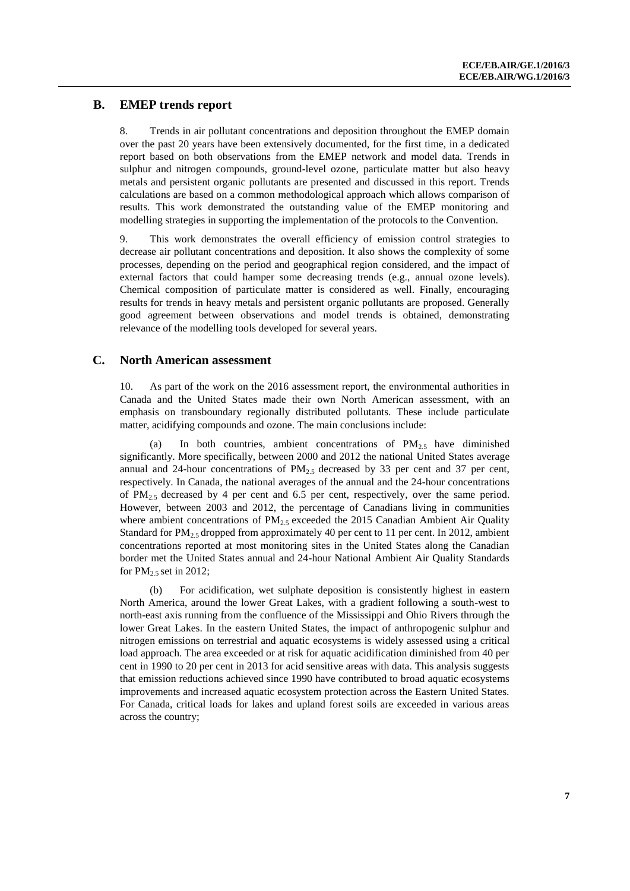### **B. EMEP trends report**

8. Trends in air pollutant concentrations and deposition throughout the EMEP domain over the past 20 years have been extensively documented, for the first time, in a dedicated report based on both observations from the EMEP network and model data. Trends in sulphur and nitrogen compounds, ground-level ozone, particulate matter but also heavy metals and persistent organic pollutants are presented and discussed in this report. Trends calculations are based on a common methodological approach which allows comparison of results. This work demonstrated the outstanding value of the EMEP monitoring and modelling strategies in supporting the implementation of the protocols to the Convention.

9. This work demonstrates the overall efficiency of emission control strategies to decrease air pollutant concentrations and deposition. It also shows the complexity of some processes, depending on the period and geographical region considered, and the impact of external factors that could hamper some decreasing trends (e.g., annual ozone levels). Chemical composition of particulate matter is considered as well. Finally, encouraging results for trends in heavy metals and persistent organic pollutants are proposed. Generally good agreement between observations and model trends is obtained, demonstrating relevance of the modelling tools developed for several years.

#### **C. North American assessment**

10. As part of the work on the 2016 assessment report, the environmental authorities in Canada and the United States made their own North American assessment, with an emphasis on transboundary regionally distributed pollutants. These include particulate matter, acidifying compounds and ozone. The main conclusions include:

(a) In both countries, ambient concentrations of  $PM_{2.5}$  have diminished significantly. More specifically, between 2000 and 2012 the national United States average annual and 24-hour concentrations of  $PM_{2,5}$  decreased by 33 per cent and 37 per cent, respectively. In Canada, the national averages of the annual and the 24-hour concentrations of  $PM_{2.5}$  decreased by 4 per cent and 6.5 per cent, respectively, over the same period. However, between 2003 and 2012, the percentage of Canadians living in communities where ambient concentrations of  $PM_{2.5}$  exceeded the 2015 Canadian Ambient Air Quality Standard for  $PM_{2.5}$  dropped from approximately 40 per cent to 11 per cent. In 2012, ambient concentrations reported at most monitoring sites in the United States along the Canadian border met the United States annual and 24-hour National Ambient Air Quality Standards for  $PM_{2.5}$  set in 2012;

For acidification, wet sulphate deposition is consistently highest in eastern North America, around the lower Great Lakes, with a gradient following a south-west to north-east axis running from the confluence of the Mississippi and Ohio Rivers through the lower Great Lakes. In the eastern United States, the impact of anthropogenic sulphur and nitrogen emissions on terrestrial and aquatic ecosystems is widely assessed using a critical load approach. The area exceeded or at risk for aquatic acidification diminished from 40 per cent in 1990 to 20 per cent in 2013 for acid sensitive areas with data. This analysis suggests that emission reductions achieved since 1990 have contributed to broad aquatic ecosystems improvements and increased aquatic ecosystem protection across the Eastern United States. For Canada, critical loads for lakes and upland forest soils are exceeded in various areas across the country;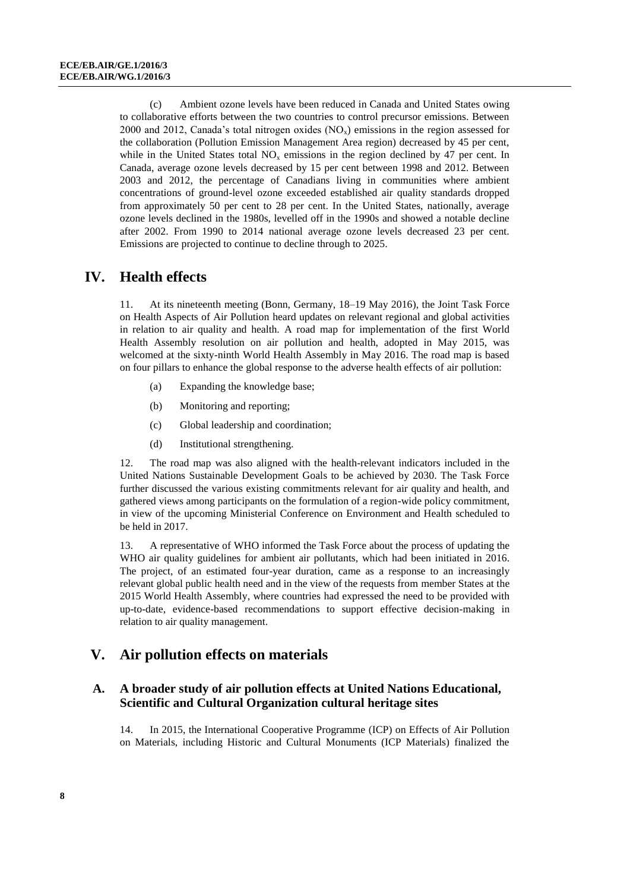(c) Ambient ozone levels have been reduced in Canada and United States owing to collaborative efforts between the two countries to control precursor emissions. Between 2000 and 2012, Canada's total nitrogen oxides  $(NO<sub>x</sub>)$  emissions in the region assessed for the collaboration (Pollution Emission Management Area region) decreased by 45 per cent, while in the United States total  $NO<sub>x</sub>$  emissions in the region declined by 47 per cent. In Canada, average ozone levels decreased by 15 per cent between 1998 and 2012. Between 2003 and 2012, the percentage of Canadians living in communities where ambient concentrations of ground-level ozone exceeded established air quality standards dropped from approximately 50 per cent to 28 per cent. In the United States, nationally, average ozone levels declined in the 1980s, levelled off in the 1990s and showed a notable decline after 2002. From 1990 to 2014 national average ozone levels decreased 23 per cent. Emissions are projected to continue to decline through to 2025.

### **IV. Health effects**

11. At its nineteenth meeting (Bonn, Germany, 18–19 May 2016), the Joint Task Force on Health Aspects of Air Pollution heard updates on relevant regional and global activities in relation to air quality and health. A road map for implementation of the first World Health Assembly resolution on air pollution and health, adopted in May 2015, was welcomed at the sixty-ninth World Health Assembly in May 2016. The road map is based on four pillars to enhance the global response to the adverse health effects of air pollution:

- (a) Expanding the knowledge base;
- (b) Monitoring and reporting;
- (c) Global leadership and coordination;
- (d) Institutional strengthening.

12. The road map was also aligned with the health-relevant indicators included in the United Nations Sustainable Development Goals to be achieved by 2030. The Task Force further discussed the various existing commitments relevant for air quality and health, and gathered views among participants on the formulation of a region-wide policy commitment, in view of the upcoming Ministerial Conference on Environment and Health scheduled to be held in 2017.

13. A representative of WHO informed the Task Force about the process of updating the WHO air quality guidelines for ambient air pollutants, which had been initiated in 2016. The project, of an estimated four-year duration, came as a response to an increasingly relevant global public health need and in the view of the requests from member States at the 2015 World Health Assembly, where countries had expressed the need to be provided with up-to-date, evidence-based recommendations to support effective decision-making in relation to air quality management.

### **V. Air pollution effects on materials**

### **A. A broader study of air pollution effects at United Nations Educational, Scientific and Cultural Organization cultural heritage sites**

14. In 2015, the International Cooperative Programme (ICP) on Effects of Air Pollution on Materials, including Historic and Cultural Monuments (ICP Materials) finalized the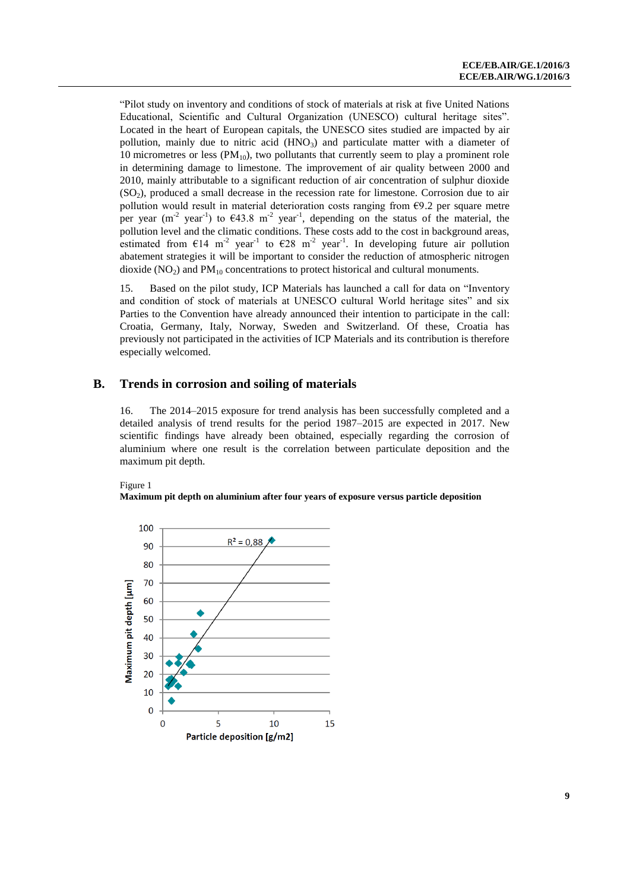"Pilot study on inventory and conditions of stock of materials at risk at five United Nations Educational, Scientific and Cultural Organization (UNESCO) cultural heritage sites". Located in the heart of European capitals, the UNESCO sites studied are impacted by air pollution, mainly due to nitric acid  $(HNO<sub>3</sub>)$  and particulate matter with a diameter of 10 micrometres or less  $(PM_{10})$ , two pollutants that currently seem to play a prominent role in determining damage to limestone. The improvement of air quality between 2000 and 2010, mainly attributable to a significant reduction of air concentration of sulphur dioxide  $(SO<sub>2</sub>)$ , produced a small decrease in the recession rate for limestone. Corrosion due to air pollution would result in material deterioration costs ranging from  $E9.2$  per square metre per year (m<sup>-2</sup> year<sup>-1</sup>) to  $\epsilon$ 43.8 m<sup>-2</sup> year<sup>-1</sup>, depending on the status of the material, the pollution level and the climatic conditions. These costs add to the cost in background areas, estimated from  $\epsilon$ 14 m<sup>-2</sup> year<sup>-1</sup> to  $\epsilon$ 28 m<sup>-2</sup> year<sup>-1</sup>. In developing future air pollution abatement strategies it will be important to consider the reduction of atmospheric nitrogen dioxide  $(NO<sub>2</sub>)$  and  $PM<sub>10</sub>$  concentrations to protect historical and cultural monuments.

15. Based on the pilot study, ICP Materials has launched a call for data on "Inventory and condition of stock of materials at UNESCO cultural World heritage sites" and six Parties to the Convention have already announced their intention to participate in the call: Croatia, Germany, Italy, Norway, Sweden and Switzerland. Of these, Croatia has previously not participated in the activities of ICP Materials and its contribution is therefore especially welcomed.

### **B. Trends in corrosion and soiling of materials**

16. The 2014–2015 exposure for trend analysis has been successfully completed and a detailed analysis of trend results for the period 1987–2015 are expected in 2017. New scientific findings have already been obtained, especially regarding the corrosion of aluminium where one result is the correlation between particulate deposition and the maximum pit depth.

#### Figure 1

#### **Maximum pit depth on aluminium after four years of exposure versus particle deposition**

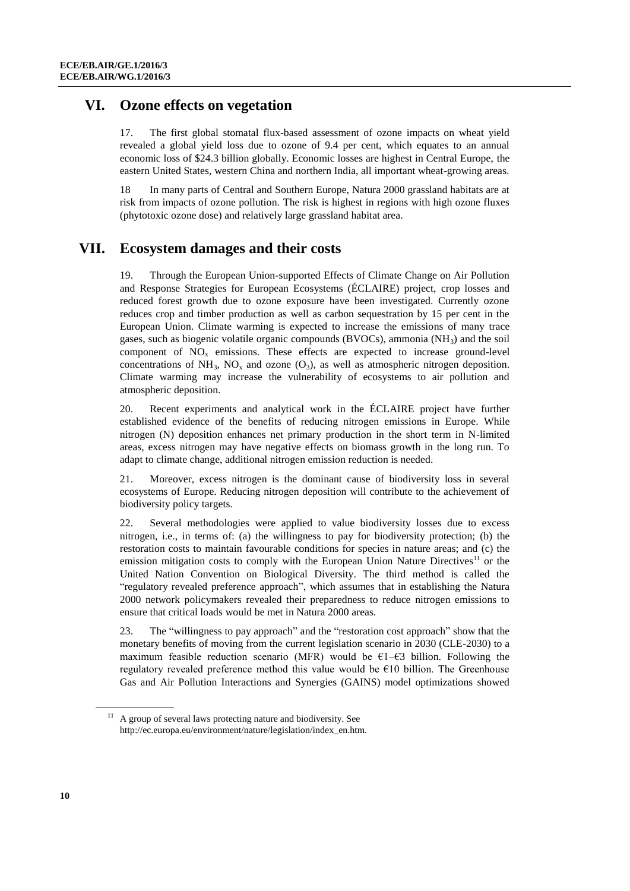### **VI. Ozone effects on vegetation**

17. The first global stomatal flux-based assessment of ozone impacts on wheat yield revealed a global yield loss due to ozone of 9.4 per cent, which equates to an annual economic loss of \$24.3 billion globally. Economic losses are highest in Central Europe, the eastern United States, western China and northern India, all important wheat-growing areas.

18 In many parts of Central and Southern Europe, Natura 2000 grassland habitats are at risk from impacts of ozone pollution. The risk is highest in regions with high ozone fluxes (phytotoxic ozone dose) and relatively large grassland habitat area.

### **VII. Ecosystem damages and their costs**

19. Through the European Union-supported Effects of Climate Change on Air Pollution and Response Strategies for European Ecosystems (ÉCLAIRE) project, crop losses and reduced forest growth due to ozone exposure have been investigated. Currently ozone reduces crop and timber production as well as carbon sequestration by 15 per cent in the European Union. Climate warming is expected to increase the emissions of many trace gases, such as biogenic volatile organic compounds (BVOCs), ammonia  $(NH<sub>3</sub>)$  and the soil component of  $NO<sub>x</sub>$  emissions. These effects are expected to increase ground-level concentrations of  $NH_3$ ,  $NO<sub>x</sub>$  and ozone  $(O_3)$ , as well as atmospheric nitrogen deposition. Climate warming may increase the vulnerability of ecosystems to air pollution and atmospheric deposition.

20. Recent experiments and analytical work in the ÉCLAIRE project have further established evidence of the benefits of reducing nitrogen emissions in Europe. While nitrogen (N) deposition enhances net primary production in the short term in N-limited areas, excess nitrogen may have negative effects on biomass growth in the long run. To adapt to climate change, additional nitrogen emission reduction is needed.

21. Moreover, excess nitrogen is the dominant cause of biodiversity loss in several ecosystems of Europe. Reducing nitrogen deposition will contribute to the achievement of biodiversity policy targets.

22. Several methodologies were applied to value biodiversity losses due to excess nitrogen, i.e., in terms of: (a) the willingness to pay for biodiversity protection; (b) the restoration costs to maintain favourable conditions for species in nature areas; and (c) the emission mitigation costs to comply with the European Union Nature Directives<sup>11</sup> or the United Nation Convention on Biological Diversity. The third method is called the "regulatory revealed preference approach", which assumes that in establishing the Natura 2000 network policymakers revealed their preparedness to reduce nitrogen emissions to ensure that critical loads would be met in Natura 2000 areas.

23. The "willingness to pay approach" and the "restoration cost approach" show that the monetary benefits of moving from the current legislation scenario in 2030 (CLE-2030) to a maximum feasible reduction scenario (MFR) would be  $\epsilon$ 1– $\epsilon$ 3 billion. Following the regulatory revealed preference method this value would be €10 billion. The Greenhouse Gas and Air Pollution Interactions and Synergies (GAINS) model optimizations showed

<sup>&</sup>lt;sup>11</sup> A group of several laws protecting nature and biodiversity. See http://ec.europa.eu/environment/nature/legislation/index\_en.htm.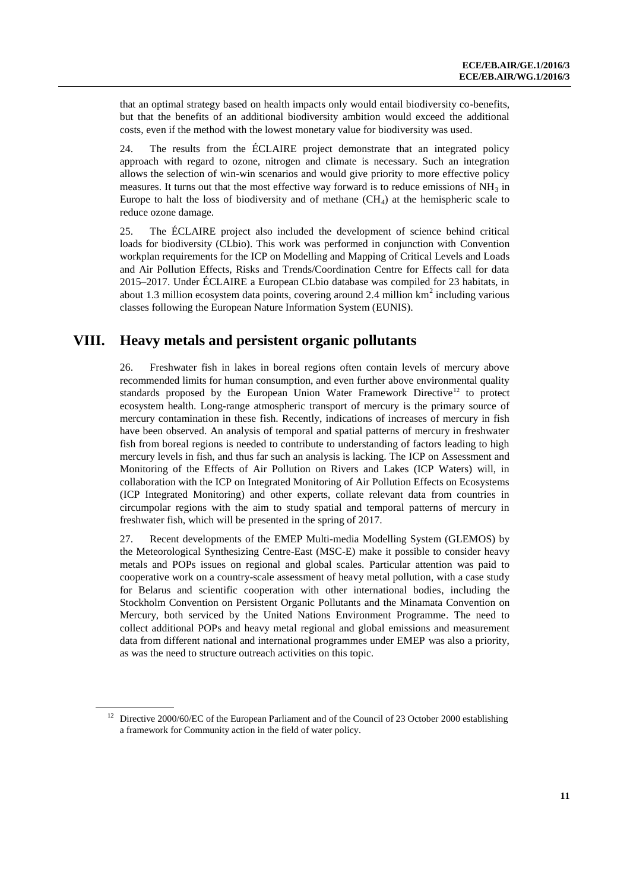that an optimal strategy based on health impacts only would entail biodiversity co-benefits, but that the benefits of an additional biodiversity ambition would exceed the additional costs, even if the method with the lowest monetary value for biodiversity was used.

24. The results from the ÉCLAIRE project demonstrate that an integrated policy approach with regard to ozone, nitrogen and climate is necessary. Such an integration allows the selection of win-win scenarios and would give priority to more effective policy measures. It turns out that the most effective way forward is to reduce emissions of  $NH_3$  in Europe to halt the loss of biodiversity and of methane  $(CH_4)$  at the hemispheric scale to reduce ozone damage.

25. The ÉCLAIRE project also included the development of science behind critical loads for biodiversity (CLbio). This work was performed in conjunction with Convention workplan requirements for the ICP on Modelling and Mapping of Critical Levels and Loads and Air Pollution Effects, Risks and Trends/Coordination Centre for Effects call for data 2015–2017. Under ÉCLAIRE a European CLbio database was compiled for 23 habitats, in about 1.3 million ecosystem data points, covering around 2.4 million  $km<sup>2</sup>$  including various classes following the European Nature Information System (EUNIS).

### **VIII. Heavy metals and persistent organic pollutants**

26. Freshwater fish in lakes in boreal regions often contain levels of mercury above recommended limits for human consumption, and even further above environmental quality standards proposed by the European Union Water Framework Directive<sup>12</sup> to protect ecosystem health. Long-range atmospheric transport of mercury is the primary source of mercury contamination in these fish. Recently, indications of increases of mercury in fish have been observed. An analysis of temporal and spatial patterns of mercury in freshwater fish from boreal regions is needed to contribute to understanding of factors leading to high mercury levels in fish, and thus far such an analysis is lacking. The ICP on Assessment and Monitoring of the Effects of Air Pollution on Rivers and Lakes (ICP Waters) will, in collaboration with the ICP on Integrated Monitoring of Air Pollution Effects on Ecosystems (ICP Integrated Monitoring) and other experts, collate relevant data from countries in circumpolar regions with the aim to study spatial and temporal patterns of mercury in freshwater fish, which will be presented in the spring of 2017.

27. Recent developments of the EMEP Multi-media Modelling System (GLEMOS) by the Meteorological Synthesizing Centre-East (MSC-E) make it possible to consider heavy metals and POPs issues on regional and global scales. Particular attention was paid to cooperative work on a country-scale assessment of heavy metal pollution, with a case study for Belarus and scientific cooperation with other international bodies, including the Stockholm Convention on Persistent Organic Pollutants and the Minamata Convention on Mercury, both serviced by the United Nations Environment Programme. The need to collect additional POPs and heavy metal regional and global emissions and measurement data from different national and international programmes under EMEP was also a priority, as was the need to structure outreach activities on this topic.

<sup>&</sup>lt;sup>12</sup> Directive 2000/60/EC of the European Parliament and of the Council of 23 October 2000 establishing a framework for Community action in the field of water policy.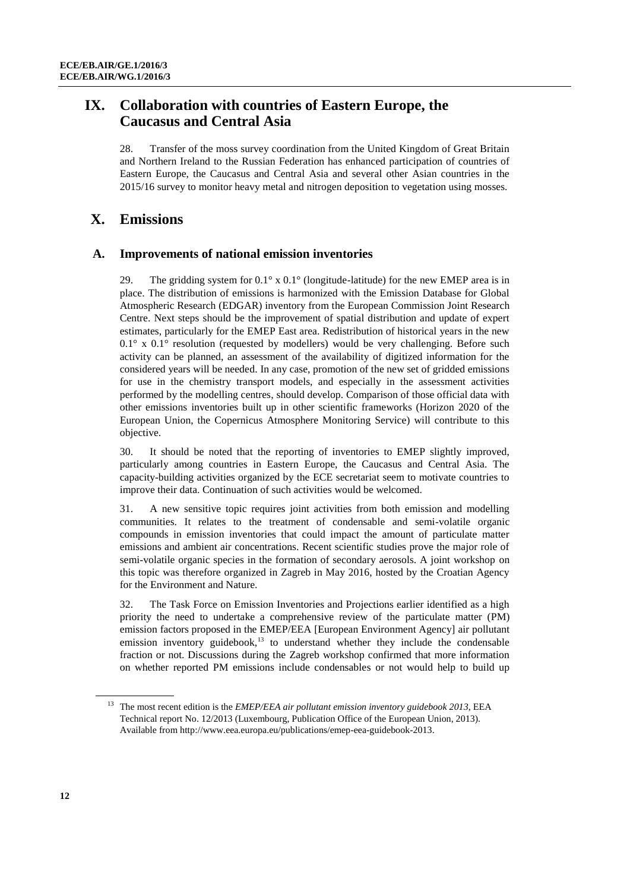# **IX. Collaboration with countries of Eastern Europe, the Caucasus and Central Asia**

28. Transfer of the moss survey coordination from the United Kingdom of Great Britain and Northern Ireland to the Russian Federation has enhanced participation of countries of Eastern Europe, the Caucasus and Central Asia and several other Asian countries in the 2015/16 survey to monitor heavy metal and nitrogen deposition to vegetation using mosses.

# **X. Emissions**

### **A. Improvements of national emission inventories**

29. The gridding system for  $0.1^\circ$  x  $0.1^\circ$  (longitude-latitude) for the new EMEP area is in place. The distribution of emissions is harmonized with the Emission Database for Global Atmospheric Research (EDGAR) inventory from the European Commission Joint Research Centre. Next steps should be the improvement of spatial distribution and update of expert estimates, particularly for the EMEP East area. Redistribution of historical years in the new  $0.1^\circ$  x  $0.1^\circ$  resolution (requested by modellers) would be very challenging. Before such activity can be planned, an assessment of the availability of digitized information for the considered years will be needed. In any case, promotion of the new set of gridded emissions for use in the chemistry transport models, and especially in the assessment activities performed by the modelling centres, should develop. Comparison of those official data with other emissions inventories built up in other scientific frameworks (Horizon 2020 of the European Union, the Copernicus Atmosphere Monitoring Service) will contribute to this objective.

30. It should be noted that the reporting of inventories to EMEP slightly improved, particularly among countries in Eastern Europe, the Caucasus and Central Asia. The capacity-building activities organized by the ECE secretariat seem to motivate countries to improve their data. Continuation of such activities would be welcomed.

31. A new sensitive topic requires joint activities from both emission and modelling communities. It relates to the treatment of condensable and semi-volatile organic compounds in emission inventories that could impact the amount of particulate matter emissions and ambient air concentrations. Recent scientific studies prove the major role of semi-volatile organic species in the formation of secondary aerosols. A joint workshop on this topic was therefore organized in Zagreb in May 2016, hosted by the Croatian Agency for the Environment and Nature.

32. The Task Force on Emission Inventories and Projections earlier identified as a high priority the need to undertake a comprehensive review of the particulate matter (PM) emission factors proposed in the EMEP/EEA [European Environment Agency] air pollutant emission inventory guidebook, $13$  to understand whether they include the condensable fraction or not. Discussions during the Zagreb workshop confirmed that more information on whether reported PM emissions include condensables or not would help to build up

<sup>13</sup> The most recent edition is the *EMEP/EEA air pollutant emission inventory guidebook 2013*, EEA Technical report No. 12/2013 (Luxembourg, Publication Office of the European Union, 2013). Available fro[m http://www.eea.europa.eu/publications/emep-eea-guidebook-2013.](http://www.eea.europa.eu/publications/emep-eea-guidebook-2013)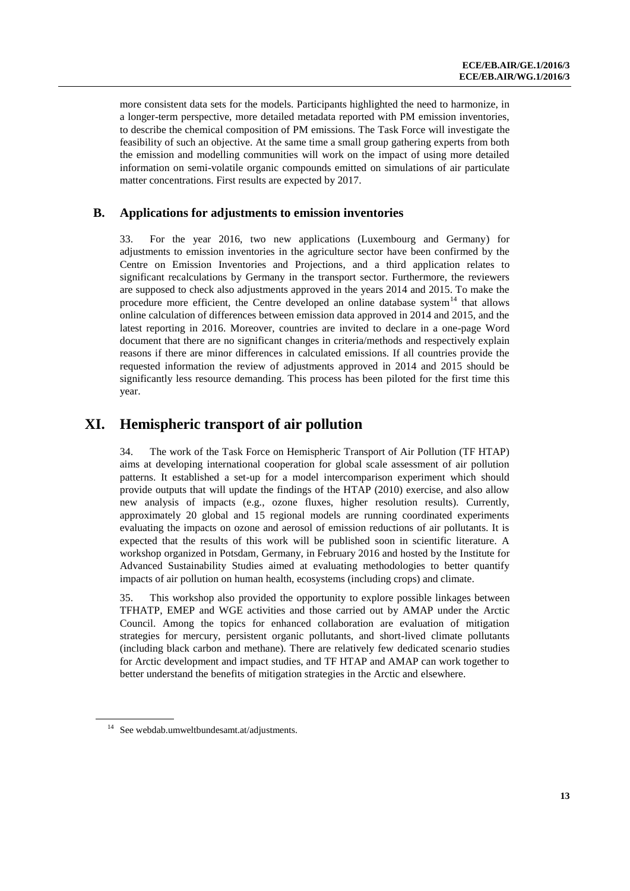more consistent data sets for the models. Participants highlighted the need to harmonize, in a longer-term perspective, more detailed metadata reported with PM emission inventories, to describe the chemical composition of PM emissions. The Task Force will investigate the feasibility of such an objective. At the same time a small group gathering experts from both the emission and modelling communities will work on the impact of using more detailed information on semi-volatile organic compounds emitted on simulations of air particulate matter concentrations. First results are expected by 2017.

### **B. Applications for adjustments to emission inventories**

33. For the year 2016, two new applications (Luxembourg and Germany) for adjustments to emission inventories in the agriculture sector have been confirmed by the Centre on Emission Inventories and Projections, and a third application relates to significant recalculations by Germany in the transport sector. Furthermore, the reviewers are supposed to check also adjustments approved in the years 2014 and 2015. To make the procedure more efficient, the Centre developed an online database system<sup>14</sup> that allows online calculation of differences between emission data approved in 2014 and 2015, and the latest reporting in 2016. Moreover, countries are invited to declare in a one-page Word document that there are no significant changes in criteria/methods and respectively explain reasons if there are minor differences in calculated emissions. If all countries provide the requested information the review of adjustments approved in 2014 and 2015 should be significantly less resource demanding. This process has been piloted for the first time this year.

### **XI. Hemispheric transport of air pollution**

34. The work of the Task Force on Hemispheric Transport of Air Pollution (TF HTAP) aims at developing international cooperation for global scale assessment of air pollution patterns. It established a set-up for a model intercomparison experiment which should provide outputs that will update the findings of the HTAP (2010) exercise, and also allow new analysis of impacts (e.g., ozone fluxes, higher resolution results). Currently, approximately 20 global and 15 regional models are running coordinated experiments evaluating the impacts on ozone and aerosol of emission reductions of air pollutants. It is expected that the results of this work will be published soon in scientific literature. A workshop organized in Potsdam, Germany, in February 2016 and hosted by the Institute for Advanced Sustainability Studies aimed at evaluating methodologies to better quantify impacts of air pollution on human health, ecosystems (including crops) and climate.

35. This workshop also provided the opportunity to explore possible linkages between TFHATP, EMEP and WGE activities and those carried out by AMAP under the Arctic Council. Among the topics for enhanced collaboration are evaluation of mitigation strategies for mercury, persistent organic pollutants, and short-lived climate pollutants (including black carbon and methane). There are relatively few dedicated scenario studies for Arctic development and impact studies, and TF HTAP and AMAP can work together to better understand the benefits of mitigation strategies in the Arctic and elsewhere.

<sup>14</sup> See webdab.umweltbundesamt.at/adjustments.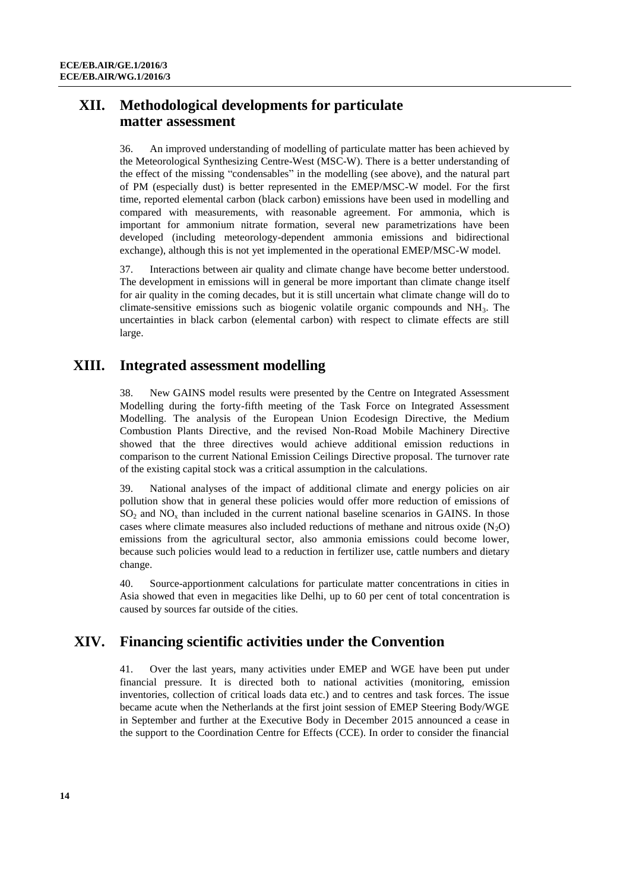## **XII. Methodological developments for particulate matter assessment**

36. An improved understanding of modelling of particulate matter has been achieved by the Meteorological Synthesizing Centre-West (MSC-W). There is a better understanding of the effect of the missing "condensables" in the modelling (see above), and the natural part of PM (especially dust) is better represented in the EMEP/MSC-W model. For the first time, reported elemental carbon (black carbon) emissions have been used in modelling and compared with measurements, with reasonable agreement. For ammonia, which is important for ammonium nitrate formation, several new parametrizations have been developed (including meteorology-dependent ammonia emissions and bidirectional exchange), although this is not yet implemented in the operational EMEP/MSC-W model.

37. Interactions between air quality and climate change have become better understood. The development in emissions will in general be more important than climate change itself for air quality in the coming decades, but it is still uncertain what climate change will do to climate-sensitive emissions such as biogenic volatile organic compounds and  $NH<sub>3</sub>$ . The uncertainties in black carbon (elemental carbon) with respect to climate effects are still large.

# **XIII. Integrated assessment modelling**

38. New GAINS model results were presented by the Centre on Integrated Assessment Modelling during the forty-fifth meeting of the Task Force on Integrated Assessment Modelling. The analysis of the European Union Ecodesign Directive, the Medium Combustion Plants Directive, and the revised Non-Road Mobile Machinery Directive showed that the three directives would achieve additional emission reductions in comparison to the current National Emission Ceilings Directive proposal. The turnover rate of the existing capital stock was a critical assumption in the calculations.

39. National analyses of the impact of additional climate and energy policies on air pollution show that in general these policies would offer more reduction of emissions of  $SO<sub>2</sub>$  and  $NO<sub>x</sub>$  than included in the current national baseline scenarios in GAINS. In those cases where climate measures also included reductions of methane and nitrous oxide  $(N_2O)$ emissions from the agricultural sector, also ammonia emissions could become lower, because such policies would lead to a reduction in fertilizer use, cattle numbers and dietary change.

40. Source-apportionment calculations for particulate matter concentrations in cities in Asia showed that even in megacities like Delhi, up to 60 per cent of total concentration is caused by sources far outside of the cities.

# **XIV. Financing scientific activities under the Convention**

41. Over the last years, many activities under EMEP and WGE have been put under financial pressure. It is directed both to national activities (monitoring, emission inventories, collection of critical loads data etc.) and to centres and task forces. The issue became acute when the Netherlands at the first joint session of EMEP Steering Body/WGE in September and further at the Executive Body in December 2015 announced a cease in the support to the Coordination Centre for Effects (CCE). In order to consider the financial